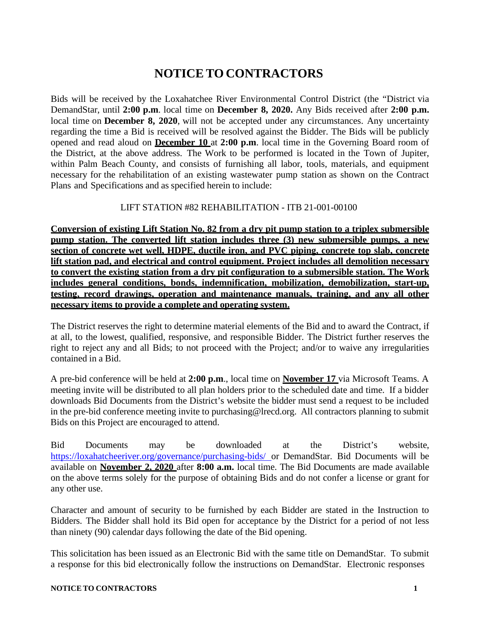## **NOTICE TO CONTRACTORS**

Bids will be received by the Loxahatchee River Environmental Control District (the "District via DemandStar, until **2:00 p.m**. local time on **December 8, 2020.** Any Bids received after **2:00 p.m.** local time on **December 8, 2020**, will not be accepted under any circumstances. Any uncertainty regarding the time a Bid is received will be resolved against the Bidder. The Bids will be publicly opened and read aloud on **December 10** at **2:00 p.m**. local time in the Governing Board room of the District, at the above address. The Work to be performed is located in the Town of Jupiter, within Palm Beach County, and consists of furnishing all labor, tools, materials, and equipment necessary for the rehabilitation of an existing wastewater pump station as shown on the Contract Plans and Specifications and as specified herein to include:

## LIFT STATION #82 REHABILITATION - ITB 21-001-00100

**Conversion of existing Lift Station No. 82 from a dry pit pump station to a triplex submersible pump station. The converted lift station includes three (3) new submersible pumps, a new section of concrete wet well, HDPE, ductile iron, and PVC piping, concrete top slab, concrete lift station pad, and electrical and control equipment. Project includes all demolition necessary to convert the existing station from a dry pit configuration to a submersible station. The Work includes general conditions, bonds, indemnification, mobilization, demobilization, start-up, testing, record drawings, operation and maintenance manuals, training, and any all other necessary items to provide a complete and operating system.**

The District reserves the right to determine material elements of the Bid and to award the Contract, if at all, to the lowest, qualified, responsive, and responsible Bidder. The District further reserves the right to reject any and all Bids; to not proceed with the Project; and/or to waive any irregularities contained in a Bid.

A pre-bid conference will be held at **2:00 p.m**., local time on **November 17** via Microsoft Teams. A meeting invite will be distributed to all plan holders prior to the scheduled date and time. If a bidder downloads Bid Documents from the District's website the bidder must send a request to be included in the pre-bid conference meeting invite to [purchasing@lrecd.org.](mailto:purchasing@lrecd.org) All contractors planning to submit Bids on this Project are encouraged to attend.

Bid Documents may be downloaded at the District's website, <https://loxahatcheeriver.org/governance/purchasing-bids/> or DemandStar. Bid Documents will be available on **November 2, 2020** after **8:00 a.m.** local time. The Bid Documents are made available on the above terms solely for the purpose of obtaining Bids and do not confer a license or grant for any other use.

Character and amount of security to be furnished by each Bidder are stated in the Instruction to Bidders. The Bidder shall hold its Bid open for acceptance by the District for a period of not less than ninety (90) calendar days following the date of the Bid opening.

This solicitation has been issued as an Electronic Bid with the same title on DemandStar. To submit a response for this bid electronically follow the instructions on DemandStar. Electronic responses

## **NOTICE TO CONTRACTORS 1**